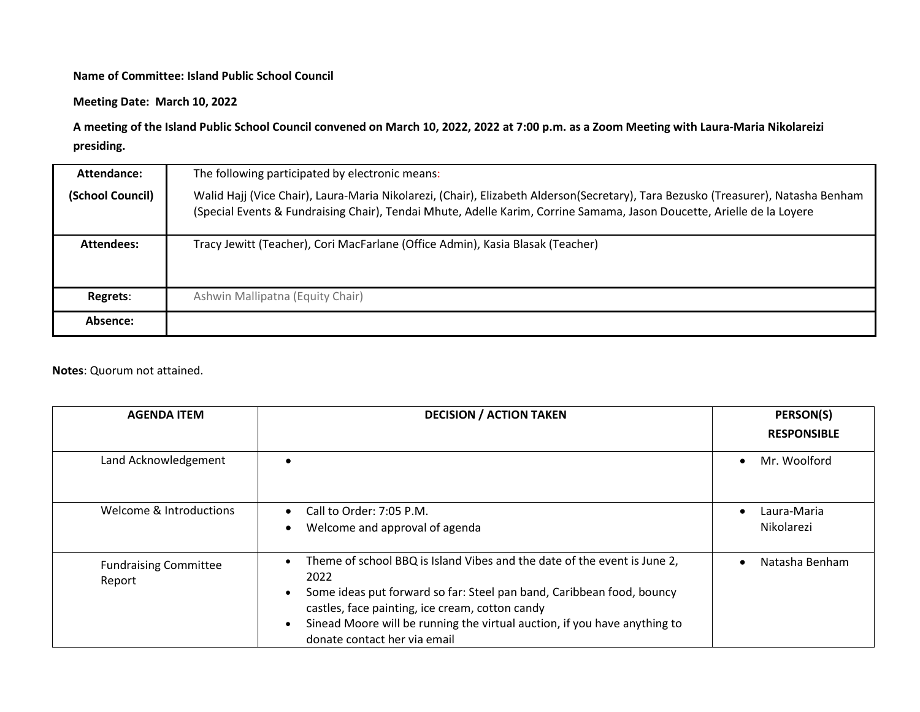## **Name of Committee: Island Public School Council**

**Meeting Date: March 10, 2022**

## **A meeting of the Island Public School Council convened on March 10, 2022, 2022 at 7:00 p.m. as a Zoom Meeting with Laura-Maria Nikolareizi presiding.**

| Attendance:      | The following participated by electronic means:                                                                                                                                                                                                             |  |
|------------------|-------------------------------------------------------------------------------------------------------------------------------------------------------------------------------------------------------------------------------------------------------------|--|
| (School Council) | Walid Hajj (Vice Chair), Laura-Maria Nikolarezi, (Chair), Elizabeth Alderson(Secretary), Tara Bezusko (Treasurer), Natasha Benham<br>(Special Events & Fundraising Chair), Tendai Mhute, Adelle Karim, Corrine Samama, Jason Doucette, Arielle de la Loyere |  |
| Attendees:       | Tracy Jewitt (Teacher), Cori MacFarlane (Office Admin), Kasia Blasak (Teacher)                                                                                                                                                                              |  |
| Regrets:         | Ashwin Mallipatna (Equity Chair)                                                                                                                                                                                                                            |  |
| Absence:         |                                                                                                                                                                                                                                                             |  |

## **Notes**: Quorum not attained.

| <b>AGENDA ITEM</b>                     | <b>DECISION / ACTION TAKEN</b>                                                                                                                                                                                                                                                                                                                                   | PERSON(S)<br><b>RESPONSIBLE</b> |
|----------------------------------------|------------------------------------------------------------------------------------------------------------------------------------------------------------------------------------------------------------------------------------------------------------------------------------------------------------------------------------------------------------------|---------------------------------|
| Land Acknowledgement                   |                                                                                                                                                                                                                                                                                                                                                                  | Mr. Woolford                    |
| Welcome & Introductions                | Call to Order: 7:05 P.M.<br>$\bullet$<br>Welcome and approval of agenda<br>$\bullet$                                                                                                                                                                                                                                                                             | Laura-Maria<br>Nikolarezi       |
| <b>Fundraising Committee</b><br>Report | Theme of school BBQ is Island Vibes and the date of the event is June 2,<br>$\bullet$<br>2022<br>Some ideas put forward so far: Steel pan band, Caribbean food, bouncy<br>$\bullet$<br>castles, face painting, ice cream, cotton candy<br>Sinead Moore will be running the virtual auction, if you have anything to<br>$\bullet$<br>donate contact her via email | Natasha Benham                  |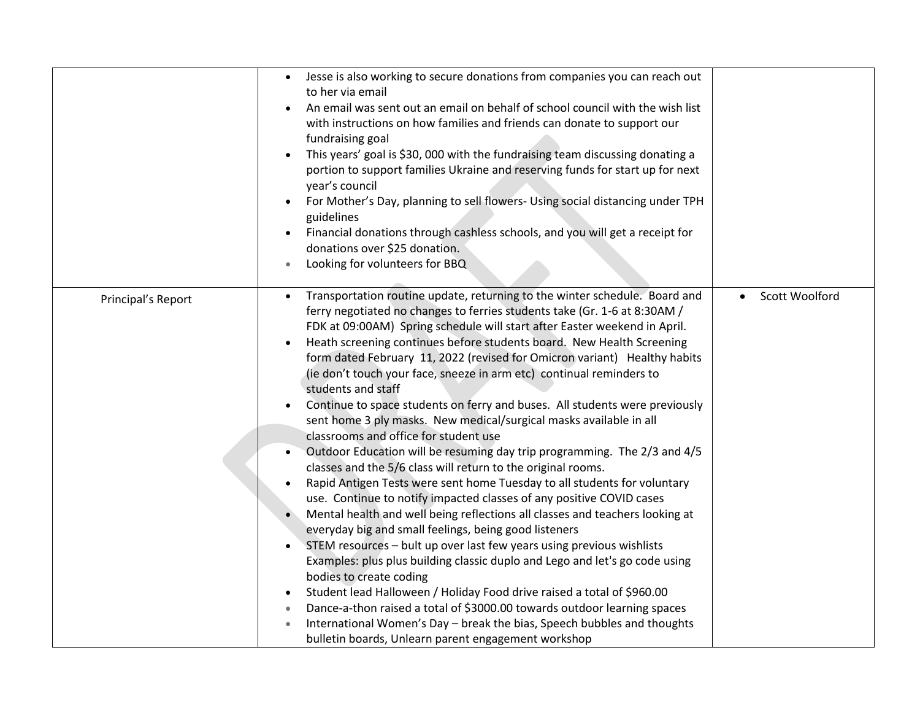|                    | Jesse is also working to secure donations from companies you can reach out<br>$\bullet$<br>to her via email<br>An email was sent out an email on behalf of school council with the wish list<br>with instructions on how families and friends can donate to support our<br>fundraising goal<br>This years' goal is \$30, 000 with the fundraising team discussing donating a<br>$\bullet$<br>portion to support families Ukraine and reserving funds for start up for next<br>year's council<br>For Mother's Day, planning to sell flowers- Using social distancing under TPH<br>$\bullet$<br>guidelines<br>Financial donations through cashless schools, and you will get a receipt for<br>$\bullet$<br>donations over \$25 donation.<br>Looking for volunteers for BBQ<br>$\bullet$                                                                                                                                                                                                                                                                                                                                                                                                                                                                                                                                                                                                                                                                                                                                                                                                                                                                          |                             |
|--------------------|----------------------------------------------------------------------------------------------------------------------------------------------------------------------------------------------------------------------------------------------------------------------------------------------------------------------------------------------------------------------------------------------------------------------------------------------------------------------------------------------------------------------------------------------------------------------------------------------------------------------------------------------------------------------------------------------------------------------------------------------------------------------------------------------------------------------------------------------------------------------------------------------------------------------------------------------------------------------------------------------------------------------------------------------------------------------------------------------------------------------------------------------------------------------------------------------------------------------------------------------------------------------------------------------------------------------------------------------------------------------------------------------------------------------------------------------------------------------------------------------------------------------------------------------------------------------------------------------------------------------------------------------------------------|-----------------------------|
| Principal's Report | Transportation routine update, returning to the winter schedule. Board and<br>$\bullet$<br>ferry negotiated no changes to ferries students take (Gr. 1-6 at 8:30AM /<br>FDK at 09:00AM) Spring schedule will start after Easter weekend in April.<br>Heath screening continues before students board. New Health Screening<br>$\bullet$<br>form dated February 11, 2022 (revised for Omicron variant) Healthy habits<br>(ie don't touch your face, sneeze in arm etc) continual reminders to<br>students and staff<br>Continue to space students on ferry and buses. All students were previously<br>sent home 3 ply masks. New medical/surgical masks available in all<br>classrooms and office for student use<br>Outdoor Education will be resuming day trip programming. The 2/3 and 4/5<br>classes and the 5/6 class will return to the original rooms.<br>Rapid Antigen Tests were sent home Tuesday to all students for voluntary<br>use. Continue to notify impacted classes of any positive COVID cases<br>Mental health and well being reflections all classes and teachers looking at<br>everyday big and small feelings, being good listeners<br>STEM resources - bult up over last few years using previous wishlists<br>$\bullet$<br>Examples: plus plus building classic duplo and Lego and let's go code using<br>bodies to create coding<br>Student lead Halloween / Holiday Food drive raised a total of \$960.00<br>Dance-a-thon raised a total of \$3000.00 towards outdoor learning spaces<br>$\bullet$<br>International Women's Day - break the bias, Speech bubbles and thoughts<br>bulletin boards, Unlearn parent engagement workshop | Scott Woolford<br>$\bullet$ |